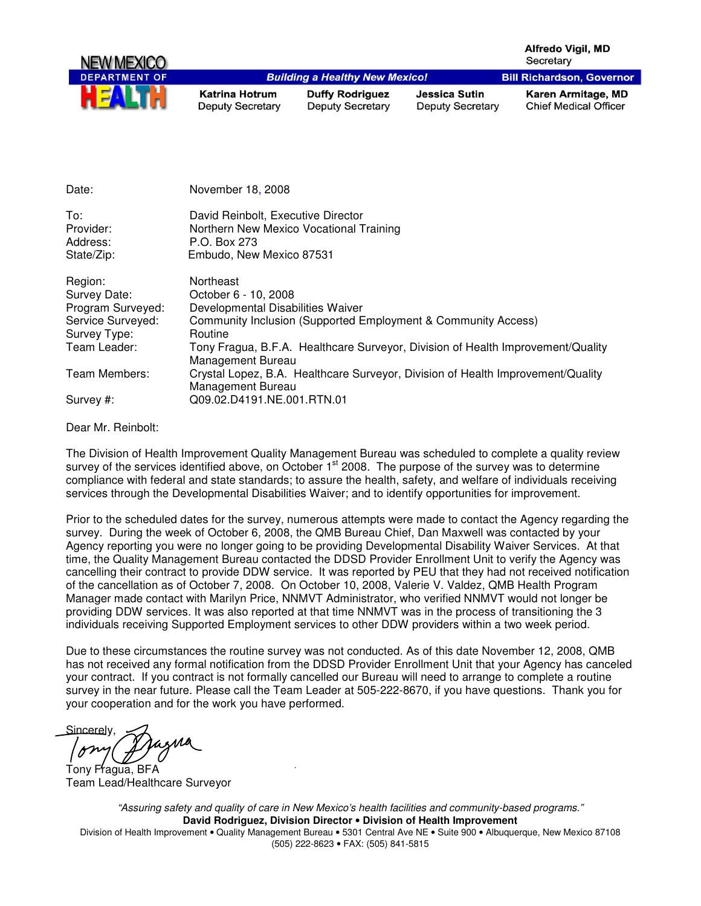Alfredo Vigil, MD Secretary **Bill Richardson, Governor** 



**Building a Healthy New Mexico! Katrina Hotrum Deputy Secretary** 

**Duffy Rodriguez Deputy Secretary** 

**Jessica Sutin Deputy Secretary**  Karen Armitage, MD **Chief Medical Officer** 

| Date:             | November 18, 2008                                                               |
|-------------------|---------------------------------------------------------------------------------|
| To:               | David Reinbolt, Executive Director                                              |
| Provider:         | Northern New Mexico Vocational Training                                         |
| Address:          | P.O. Box 273                                                                    |
| State/Zip:        | Embudo, New Mexico 87531                                                        |
| Region:           | Northeast                                                                       |
| Survey Date:      | October 6 - 10, 2008                                                            |
| Program Surveyed: | Developmental Disabilities Waiver                                               |
| Service Surveyed: | Community Inclusion (Supported Employment & Community Access)                   |
| Survey Type:      | Routine                                                                         |
| Team Leader:      | Tony Fragua, B.F.A. Healthcare Surveyor, Division of Health Improvement/Quality |
|                   | Management Bureau                                                               |
| Team Members:     | Crystal Lopez, B.A. Healthcare Surveyor, Division of Health Improvement/Quality |
|                   | Management Bureau                                                               |
| Survey #:         | Q09.02.D4191.NE.001.RTN.01                                                      |

Dear Mr. Reinbolt:

The Division of Health Improvement Quality Management Bureau was scheduled to complete a quality review survey of the services identified above, on October  $1<sup>st</sup>$  2008. The purpose of the survey was to determine compliance with federal and state standards; to assure the health, safety, and welfare of individuals receiving services through the Developmental Disabilities Waiver; and to identify opportunities for improvement.

Prior to the scheduled dates for the survey, numerous attempts were made to contact the Agency regarding the survey. During the week of October 6, 2008, the QMB Bureau Chief, Dan Maxwell was contacted by your Agency reporting you were no longer going to be providing Developmental Disability Waiver Services. At that time, the Quality Management Bureau contacted the DDSD Provider Enrollment Unit to verify the Agency was cancelling their contract to provide DDW service. It was reported by PEU that they had not received notification of the cancellation as of October 7, 2008. On October 10, 2008, Valerie V. Valdez, QMB Health Program Manager made contact with Marilyn Price, NNMVT Administrator, who verified NNMVT would not longer be providing DDW services. It was also reported at that time NNMVT was in the process of transitioning the 3 individuals receiving Supported Employment services to other DDW providers within a two week period.

Due to these circumstances the routine survey was not conducted. As of this date November 12, 2008, QMB has not received any formal notification from the DDSD Provider Enrollment Unit that your Agency has canceled your contract. If you contract is not formally cancelled our Bureau will need to arrange to complete a routine survey in the near future. Please call the Team Leader at 505-222-8670, if you have questions. Thank you for your cooperation and for the work you have performed.

**Sincerely** 

Tony Fragua, BFA Team Lead/Healthcare Surveyor

"Assuring safety and quality of care in New Mexico's health facilities and community-based programs." **David Rodriguez, Division Director** • **Division of Health Improvement**  Division of Health Improvement • Quality Management Bureau • 5301 Central Ave NE • Suite 900 • Albuquerque, New Mexico 87108 (505) 222-8623 • FAX: (505) 841-5815